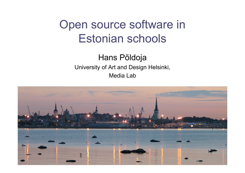# Open source software in Estonian schools

Hans Põldoja University of Art and Design Helsinki, Media Lab

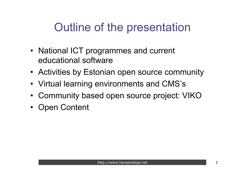# Outline of the presentation

- National ICT programmes and current educational software
- Activities by Estonian open source community
- Virtual learning environments and CMS's
- Community based open source project: VIKO
- Open Content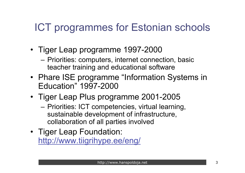## ICT programmes for Estonian schools

- Tiger Leap programme 1997-2000
	- Priorities: computers, internet connection, basic teacher training and educational software
- Phare ISE programme "Information Systems in Education" 1997-2000
- Tiger Leap Plus programme 2001-2005
	- Priorities: ICT competencies, virtual learning, sustainable development of infrastructure, collaboration of all parties involved
- Tiger Leap Foundation: http://www.tiigrihype.ee/eng/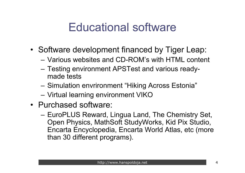# Educational software

- Software development financed by Tiger Leap:
	- Various websites and CD-ROM's with HTML content
	- Testing environment APSTest and various readymade tests
	- Simulation envrironment "Hiking Across Estonia"
	- Virtual learning environment VIKO
- Purchased software:
	- EuroPLUS Reward, Lingua Land, The Chemistry Set, Open Physics, MathSoft StudyWorks, Kid Pix Studio, Encarta Encyclopedia, Encarta World Atlas, etc (more than 30 different programs).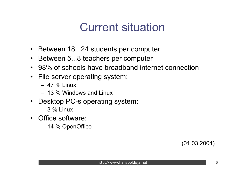# Current situation

- Between 18...24 students per computer
- Between 5...8 teachers per computer
- 98% of schools have broadband internet connection
- File server operating system:
	- $-47 \%$  Linux
	- 13 % Windows and Linux
- Desktop PC-s operating system:
	- $-3\%$  Linux
- Office software:
	- 14 % OpenOffice

(01.03.2004)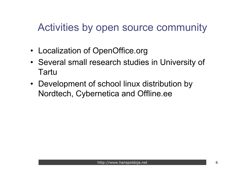### Activities by open source community

- Localization of OpenOffice.org
- Several small research studies in University of Tartu
- Development of school linux distribution by Nordtech, Cybernetica and Offline.ee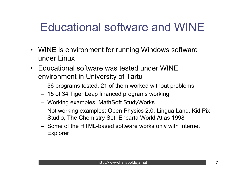# Educational software and WINE

- WINE is environment for running Windows software under Linux
- Educational software was tested under WINE environment in University of Tartu
	- 56 programs tested, 21 of them worked without problems
	- 15 of 34 Tiger Leap financed programs working
	- Working examples: MathSoft StudyWorks
	- Not working examples: Open Physics 2.0, Lingua Land, Kid Pix Studio, The Chemistry Set, Encarta World Atlas 1998
	- Some of the HTML-based software works only with Internet Explorer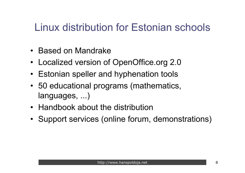### Linux distribution for Estonian schools

- Based on Mandrake
- Localized version of OpenOffice.org 2.0
- Estonian speller and hyphenation tools
- 50 educational programs (mathematics, languages, ...)
- Handbook about the distribution
- Support services (online forum, demonstrations)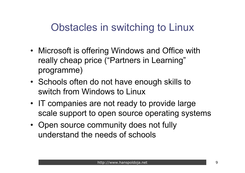### Obstacles in switching to Linux

- Microsoft is offering Windows and Office with really cheap price ("Partners in Learning" programme)
- Schools often do not have enough skills to switch from Windows to Linux
- IT companies are not ready to provide large scale support to open source operating systems
- Open source community does not fully understand the needs of schools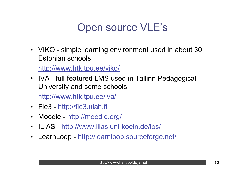## Open source VLE's

• VIKO - simple learning environment used in about 30 Estonian schools

http://www.htk.tpu.ee/viko/

• IVA - full-featured LMS used in Tallinn Pedagogical University and some schools

http://www.htk.tpu.ee/iva/

- Fle3 http://fle3.uiah.fi
- Moodle http://moodle.org/
- ILIAS http://www.ilias.uni-koeln.de/ios/
- LearnLoop http://learnloop.sourceforge.net/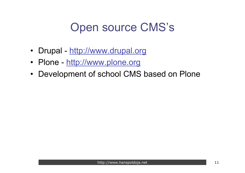# Open source CMS's

- Drupal http://www.drupal.org
- Plone http://www.plone.org
- Development of school CMS based on Plone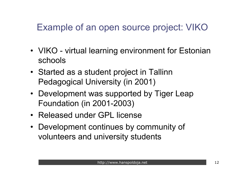### Example of an open source project: VIKO

- VIKO virtual learning environment for Estonian schools
- Started as a student project in Tallinn Pedagogical University (in 2001)
- Development was supported by Tiger Leap Foundation (in 2001-2003)
- Released under GPL license
- Development continues by community of volunteers and university students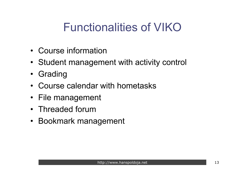# Functionalities of VIKO

- Course information
- Student management with activity control
- Grading
- Course calendar with hometasks
- File management
- Threaded forum
- Bookmark management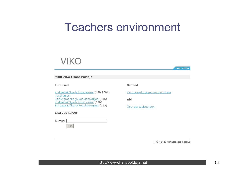### Teachers environment



TPÜ Haridustehnoloogia keskus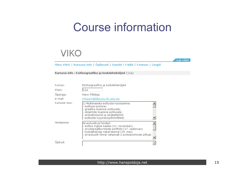# Course information

### **VIKO**

Logi välja

Minu VIKO | Kursuse info | Õpilased | Tunnid | Failid | Foorum | Lingid

Kursuse info : Esitlusgraafika ja koduleheküljed (11a)

| Kursus:       | Esitlusgraafika ja koduleheküljed                                                                                                                                                                                         |
|---------------|---------------------------------------------------------------------------------------------------------------------------------------------------------------------------------------------------------------------------|
| Klass:        | 11a                                                                                                                                                                                                                       |
| Õpetaja:      | Hans Põldoja                                                                                                                                                                                                              |
| e-mail:       | infojuht@lillekyla.tln.edu.ee                                                                                                                                                                                             |
| Kursuse sisu: | 1) Multimeedia esitluste koostamine:<br>- esitluse loomine;<br>- graafika lisamine esitlusele;<br>- objektide lisamine esitlusele;<br> - animatsioonid ja siirdeefektid;<br>- esitluste kujunduspõhimõtted;               |
| Hindamine:    | lArvestuslikud hinded:<br>- esitlus inglise keeles (11. november);<br>- arvutigraafika tööde portfolio (17. veebruar);<br>- kodulehekülg vabal teemal (19. mai);<br>- arvestuslik hinne vähemalt 2 protsessihinde põhjal. |
| Öpikud:       |                                                                                                                                                                                                                           |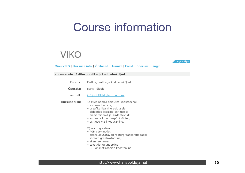## Course information

### **VIKO**

Logi välja

#### Minu VIKO | Kursuse info | Õpilased | Tunnid | Failid | Foorum | Lingid

#### Kursuse info : Esitlusgraafika ja koduleheküljed

| Kursus:       | Esitlusgraafika ja koduleheküljed                                                                                                                                                                                                          |  |
|---------------|--------------------------------------------------------------------------------------------------------------------------------------------------------------------------------------------------------------------------------------------|--|
| Õpetaja:      | Hans Põldoja                                                                                                                                                                                                                               |  |
| e-mail:       | infojuht@lillekyla.tln.edu.ee                                                                                                                                                                                                              |  |
| Kursuse sisu: | 1) Multimeedia esitluste koostamine:<br>– esitluse loomine;<br>- graafika lisamine esitlusele;<br>- objektide lisamine esitlusele;<br>- animatsioonid ja siirdeefektid;<br>- esitluste kujunduspõhimõtted;<br>– esitluse malli koostamine. |  |
|               | 2) Arvutigraafika:<br>- RGB värvimudel;<br>- enamkasutatavad rastergraafikaformaadid;<br>- lihtsam graafikatöötlus;<br>- skanneerimine;<br>- tekstide kujundamine;<br>- GIF animatsioonide koostamine.                                     |  |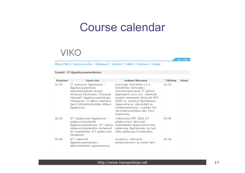### Course calendar

### **VIKO**

Logi välja

#### Minu VIKO | Kursuse info | Õpilased | Tunnid | Failid | Foorum | Lingid

#### Tunnid: IT õppekavaarenduses

| Kuupäev | Tunni sisu                                                                                                                                                                                                                  | Kodune ülesanne                                                                                                                                                                                                                                                                                         | Tähtaeg | Hinne |
|---------|-----------------------------------------------------------------------------------------------------------------------------------------------------------------------------------------------------------------------------|---------------------------------------------------------------------------------------------------------------------------------------------------------------------------------------------------------------------------------------------------------------------------------------------------------|---------|-------|
| 12.05   | IT uuenevas õppekavas -<br>õppekavaarenduse<br>metodoloogilised alused,<br>erinevad käsitlused, \"kuumad<br>teemad\" õppekavaarenduses<br>infoajastul. IT läbiva teemana<br>Eesti üldhariduskoolide riiklikus<br>õppekavas. | Koostage rühmatöös (2-3<br>liikmelistes rühmades)<br>interdistsiplinaarse IT-põhise<br>őpiprojekti kava (sis. vähemalt<br>projekti eesmärke lähtuvalt RÕK<br>2002-st, oodatud õpitulemusi,<br>tegevuskava, ülesandeid ja<br>hindamiseeskirja). Laadige töö<br>tekstidokumendina üles VIKO<br>keskkonda. | 26.05   |       |
| 26.05   | IKT pädevused õppekavas -<br>pädevusstandardid<br>õppekavaarenduses, IKT alaste<br>pädevusstandardite süsteemid<br>eri tasemetele, IKT pädevuste<br>hindamine.                                                              | Valmistada RŐK 2002 IKT<br>pädevustest lähtuvalt<br>multimeedia-õppevahend ühe<br>pädevuse õpetamiseks ja test<br>selle pädevuse hindamiseks.                                                                                                                                                           | 09.06   |       |
| 09.06   | IKT vahendid<br>õppekavaarenduses -<br>elektroonilised tugisüsteemid,                                                                                                                                                       | Arvestus: rühmatöö.<br>presentatsioon ja online-test.                                                                                                                                                                                                                                                   | 09.06   |       |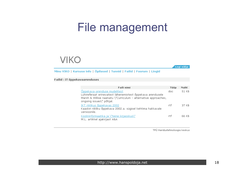## File management

**VIKO** 

Logi välja

Minu VIKO | Kursuse info | Õpilased | Tunnid | Failid | Foorum | Lingid

#### Failid : IT õppekavaarenduses

| Faili nimi                                                                                                                                                                                       | Tüüp | Maht  |
|--------------------------------------------------------------------------------------------------------------------------------------------------------------------------------------------------|------|-------|
| <u> Õppekava-arenduse mudelitest</u><br>Lühireferaat erinevatest lähenemistest õppekava arendusele<br>Marsh & Willise raamatu \"Curriculum - alternative approaches,<br>onqoinq issues\" põhjal. | doc  | 51 KB |
| IKT riiklikus õppekavas 2002<br>Kaaskiri riikliku õppekava 2002.a. sügisel kehtima hakkavale<br>versioonile.                                                                                     | rtf  | 37 KB |
| Koolininformaatika ja \"teine kirjaoskus\"<br>M.L. artikkel ajakirjast A&A                                                                                                                       | rtf  | 66 KB |

TPÜ Haridustehnoloogia keskus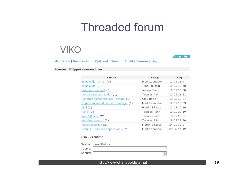### Threaded forum

### **VIKO**

Logi välja

 $\triangleq$ 

Minu VIKO | Kursuse info | Õpilased | Tunnid | Failid | Foorum | Lingid

Foorum : IT õppekavaarenduses

| Teema                                      | Saatja          | Aeg         |
|--------------------------------------------|-----------------|-------------|
| Esmamulje VIKOst (9)                       | Mart Laanpere   | 12.05 15:47 |
| esmamulje (2)                              | Tiina Puusalu   | 12.05 15:48 |
| Huvitav, huvitav? (3)                      | Andres Sarri    | 12.05 15:50 |
| Kuidas faile uploadida? (1)                | Toomas Rähn     | 12.05 15:51 |
| Hariduse misjoonist meil ja mujal (1)      | Olev Räisa      | 12.05 15:54 |
| <u> Õppekava-arenduse metodoloogia</u> (1) | Mart Laanpere   | 12.05 16:09 |
| Nimi(2)                                    | Martin Sillaots | 12.05 16:10 |
| Palve(2)                                   | Toomas Rähn     | 12.05 23:19 |
| Veel VIKO-st (2)                           | Toomas Rähn     | 13.05 10:31 |
| Ma olen rumal : $(2)$                      | Toomas Rähn     | 19.05 23:20 |
| Kuidas laadida? (2)                        | Martin Sillaots | 24.05 18:57 |
| Simu: IT roll kooli õppekavas (57)         | Mart Laanpere   | 09.06 14:12 |

#### Lisa uus teema

Saatja: Hans Põldoja

Teema: Sốnum: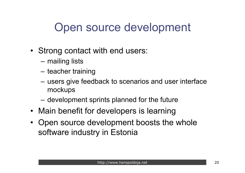# Open source development

- Strong contact with end users:
	- mailing lists
	- teacher training
	- users give feedback to scenarios and user interface mockups
	- development sprints planned for the future
- Main benefit for developers is learning
- Open source development boosts the whole software industry in Estonia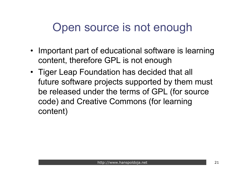# Open source is not enough

- Important part of educational software is learning content, therefore GPL is not enough
- Tiger Leap Foundation has decided that all future software projects supported by them must be released under the terms of GPL (for source code) and Creative Commons (for learning content)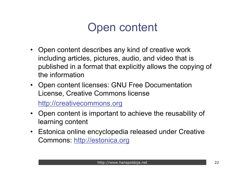# Open content

- Open content describes any kind of creative work including articles, pictures, audio, and video that is published in a format that explicitly allows the copying of the information
- Open content licenses: GNU Free Documentation License, Creative Commons license

http://creativecommons.org

- Open content is important to achieve the reusability of learning content
- Estonica online encyclopedia released under Creative Commons: http://estonica.org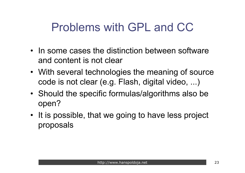# Problems with GPL and CC

- In some cases the distinction between software and content is not clear
- With several technologies the meaning of source code is not clear (e.g. Flash, digital video, ...)
- Should the specific formulas/algorithms also be open?
- It is possible, that we going to have less project proposals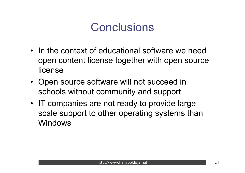# **Conclusions**

- In the context of educational software we need open content license together with open source license
- Open source software will not succeed in schools without community and support
- IT companies are not ready to provide large scale support to other operating systems than Windows